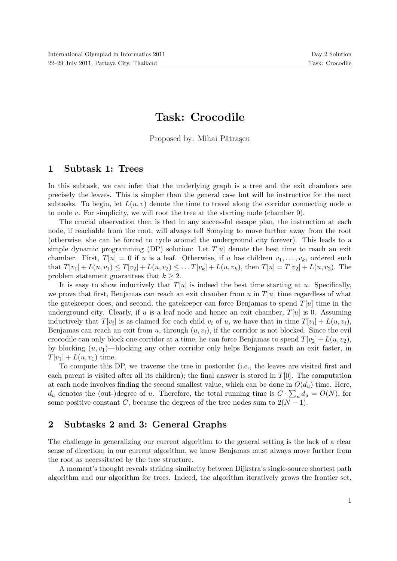## Task: Crocodile

Proposed by: Mihai Pătrașcu

## 1 Subtask 1: Trees

In this subtask, we can infer that the underlying graph is a tree and the exit chambers are precisely the leaves. This is simpler than the general case but will be instructive for the next subtasks. To begin, let  $L(u, v)$  denote the time to travel along the corridor connecting node u to node  $v$ . For simplicity, we will root the tree at the starting node (chamber 0).

The crucial observation then is that in any successful escape plan, the instruction at each node, if reachable from the root, will always tell Somying to move further away from the root (otherwise, she can be forced to cycle around the underground city forever). This leads to a simple dynamic programming (DP) solution: Let  $T[u]$  denote the best time to reach an exit chamber. First,  $T[u] = 0$  if u is a leaf. Otherwise, if u has children  $v_1, \ldots, v_k$ , ordered such that  $T[v_1] + L(u, v_1) \leq T[v_2] + L(u, v_2) \leq \ldots T[v_k] + L(u, v_k)$ , then  $T[u] = T[v_2] + L(u, v_2)$ . The problem statement guarantees that  $k \geq 2$ .

It is easy to show inductively that  $T[u]$  is indeed the best time starting at u. Specifically, we prove that first, Benjamas can reach an exit chamber from u in  $T[u]$  time regardless of what the gatekeeper does, and second, the gatekeeper can force Benjamas to spend  $T[u]$  time in the underground city. Clearly, if u is a leaf node and hence an exit chamber,  $T[u]$  is 0. Assuming inductively that  $T[v_i]$  is as claimed for each child  $v_i$  of u, we have that in time  $T[v_i] + L(u, v_i)$ , Benjamas can reach an exit from u, through  $(u, v_i)$ , if the corridor is not blocked. Since the evil crocodile can only block one corridor at a time, he can force Benjamas to spend  $T[v_2] + L(u, v_2)$ , by blocking  $(u, v_1)$ —blocking any other corridor only helps Benjamas reach an exit faster, in  $T[v_1] + L(u, v_1)$  time.

To compute this DP, we traverse the tree in postorder (i.e., the leaves are visited first and each parent is visited after all its children); the final answer is stored in  $T[0]$ . The computation at each node involves finding the second smallest value, which can be done in  $O(d_u)$  time. Here,  $d_u$  denotes the (out-)degree of u. Therefore, the total running time is  $C \cdot \sum_u d_u = O(N)$ , for some positive constant C, because the degrees of the tree nodes sum to  $2(N-1)$ .

## 2 Subtasks 2 and 3: General Graphs

The challenge in generalizing our current algorithm to the general setting is the lack of a clear sense of direction; in our current algorithm, we know Benjamas must always move further from the root as necessitated by the tree structure.

A moment's thought reveals striking similarity between Dijkstra's single-source shortest path algorithm and our algorithm for trees. Indeed, the algorithm iteratively grows the frontier set,